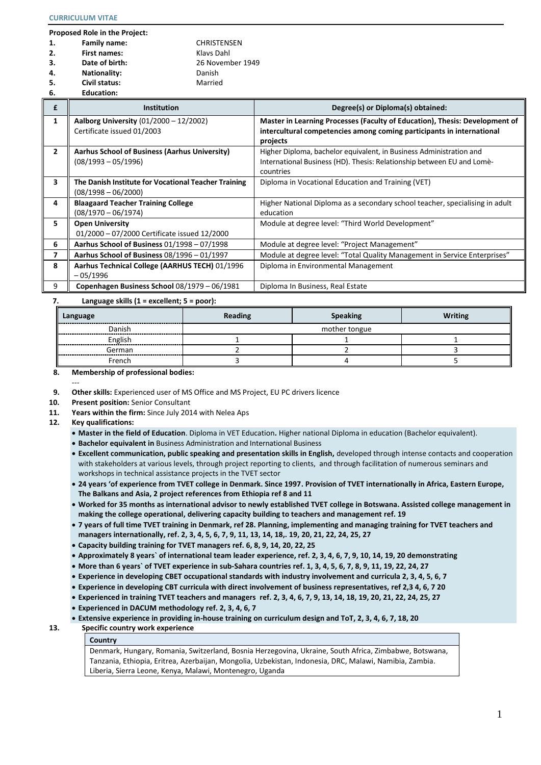**6. Education:**

**Proposed Role in the Project:**

| 1. | Family name:        | <b>CHRISTENSEN</b> |
|----|---------------------|--------------------|
|    |                     |                    |
| 2. | <b>First names:</b> | Klavs Dahl         |
| 3. | Date of birth:      | 26 November 1949   |
| 4. | <b>Nationality:</b> | Danish             |
| 5. | Civil status:       | Married            |

| £                       | <b>Institution</b>                                   | Degree(s) or Diploma(s) obtained:                                                   |
|-------------------------|------------------------------------------------------|-------------------------------------------------------------------------------------|
| 1                       | Aalborg University (01/2000 - 12/2002)               | Master in Learning Processes (Faculty of Education), Thesis: Development of         |
|                         | Certificate issued 01/2003                           | intercultural competencies among coming participants in international<br>projects   |
| $\overline{2}$          | Aarhus School of Business (Aarhus University)        | Higher Diploma, bachelor equivalent, in Business Administration and                 |
|                         | $(08/1993 - 05/1996)$                                | International Business (HD). Thesis: Relationship between EU and Lomè-<br>countries |
| $\overline{\mathbf{3}}$ | The Danish Institute for Vocational Teacher Training | Diploma in Vocational Education and Training (VET)                                  |
|                         | $(08/1998 - 06/2000)$                                |                                                                                     |
| 4                       | <b>Blaagaard Teacher Training College</b>            | Higher National Diploma as a secondary school teacher, specialising in adult        |
|                         | $(08/1970 - 06/1974)$                                | education                                                                           |
| 5.                      | <b>Open University</b>                               | Module at degree level: "Third World Development"                                   |
|                         | 01/2000 - 07/2000 Certificate issued 12/2000         |                                                                                     |
| 6                       | Aarhus School of Business 01/1998 - 07/1998          | Module at degree level: "Project Management"                                        |
| $\overline{ }$          | Aarhus School of Business 08/1996 - 01/1997          | Module at degree level: "Total Quality Management in Service Enterprises"           |
| 8                       | Aarhus Technical College (AARHUS TECH) 01/1996       | Diploma in Environmental Management                                                 |
|                         | -05/1996                                             |                                                                                     |
| 9                       | Copenhagen Business School 08/1979 - 06/1981         | Diploma In Business, Real Estate                                                    |

## **7. Language skills (1 = excellent; 5 = poor):**

| Language                              | Reading | <b>Speaking</b> |  |  |
|---------------------------------------|---------|-----------------|--|--|
| Danish<br>---------<br>------         |         | mother tongue   |  |  |
| English                               |         |                 |  |  |
| German<br>--------------<br>_________ |         |                 |  |  |
| French                                |         |                 |  |  |

## **8. Membership of professional bodies:**

- **9. Other skills:** Experienced user of MS Office and MS Project, EU PC drivers licence
- **10. Present position:** Senior Consultant
- **11. Years within the firm:** Since July 2014 with Nelea Aps
- **12. Key qualifications:**

---

- **Master in the field of Education**. Diploma in VET Education**.** Higher national Diploma in education (Bachelor equivalent).
- **Bachelor equivalent in** Business Administration and International Business
- **Excellent communication, public speaking and presentation skills in English,** developed through intense contacts and cooperation with stakeholders at various levels, through project reporting to clients, and through facilitation of numerous seminars and workshops in technical assistance projects in the TVET sector
- **24 years 'of experience from TVET college in Denmark. Since 1997. Provision of TVET internationally in Africa, Eastern Europe, The Balkans and Asia, 2 project references from Ethiopia ref 8 and 11**
- **Worked for 35 months as international advisor to newly established TVET college in Botswana. Assisted college management in making the college operational, delivering capacity building to teachers and management ref. 19**
- **7 years of full time TVET training in Denmark, ref 28. Planning, implementing and managing training for TVET teachers and managers internationally, ref. 2, 3, 4, 5, 6, 7, 9, 11, 13, 14, 18,. 19, 20, 21, 22, 24, 25, 27**
- **Capacity building training for TVET managers ref. 6, 8, 9, 14, 20, 22, 25**
- **Approximately 8 years` of international team leader experience, ref. 2, 3, 4, 6, 7, 9, 10, 14, 19, 20 demonstrating**
- **More than 6 years` of TVET experience in sub-Sahara countries ref. 1, 3, 4, 5, 6, 7, 8, 9, 11, 19, 22, 24, 27**
- **Experience in developing CBET occupational standards with industry involvement and curricula 2, 3, 4, 5, 6, 7**
- **Experience in developing CBT curricula with direct involvement of business representatives, ref 2,3 4, 6, 7 20**
- **Experienced in training TVET teachers and managers ref. 2, 3, 4, 6, 7, 9, 13, 14, 18, 19, 20, 21, 22, 24, 25, 27**
- **Experienced in DACUM methodology ref. 2, 3, 4, 6, 7**
- **Extensive experience in providing in-house training on curriculum design and ToT, 2, 3, 4, 6, 7, 18, 20 13. Specific country work experience**

**Country**

Denmark, Hungary, Romania, Switzerland, Bosnia Herzegovina, Ukraine, South Africa, Zimbabwe, Botswana, Tanzania, Ethiopia, Eritrea, Azerbaijan, Mongolia, Uzbekistan, Indonesia, DRC, Malawi, Namibia, Zambia. Liberia, Sierra Leone, Kenya, Malawi, Montenegro, Uganda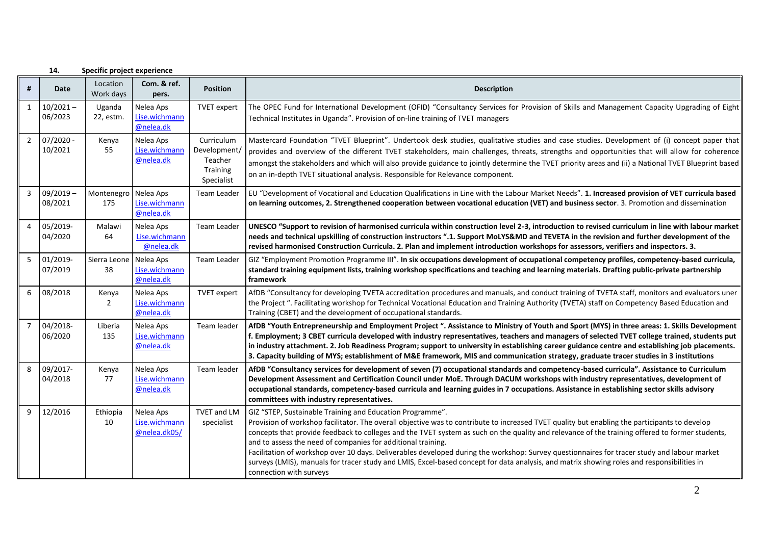|   | 14.                    | Specific project experience |                                            |                                                                 |                                                                                                                                                                                                                                                                                                                                                                                                                                                                                                                                                                                                                                                                                                                                                       |
|---|------------------------|-----------------------------|--------------------------------------------|-----------------------------------------------------------------|-------------------------------------------------------------------------------------------------------------------------------------------------------------------------------------------------------------------------------------------------------------------------------------------------------------------------------------------------------------------------------------------------------------------------------------------------------------------------------------------------------------------------------------------------------------------------------------------------------------------------------------------------------------------------------------------------------------------------------------------------------|
| # | Date                   | Location<br>Work days       | Com. & ref.<br>pers.                       | <b>Position</b>                                                 | <b>Description</b>                                                                                                                                                                                                                                                                                                                                                                                                                                                                                                                                                                                                                                                                                                                                    |
| 1 | $10/2021 -$<br>06/2023 | Uganda<br>22, estm.         | Nelea Aps<br>Lise.wichmann<br>@nelea.dk    | TVET expert                                                     | The OPEC Fund for International Development (OFID) "Consultancy Services for Provision of Skills and Management Capacity Upgrading of Eight<br>Technical Institutes in Uganda". Provision of on-line training of TVET managers                                                                                                                                                                                                                                                                                                                                                                                                                                                                                                                        |
| 2 | $07/2020 -$<br>10/2021 | Kenya<br>55                 | Nelea Aps<br>Lise.wichmann<br>@nelea.dk    | Curriculum<br>Development/<br>Teacher<br>Training<br>Specialist | Mastercard Foundation "TVET Blueprint". Undertook desk studies, qualitative studies and case studies. Development of (i) concept paper that<br>provides and overview of the different TVET stakeholders, main challenges, threats, strengths and opportunities that will allow for coherence<br>amongst the stakeholders and which will also provide guidance to jointly determine the TVET priority areas and (ii) a National TVET Blueprint based<br>on an in-depth TVET situational analysis. Responsible for Relevance component.                                                                                                                                                                                                                 |
| 3 | $09/2019 -$<br>08/2021 | Montenegro<br>175           | Nelea Aps<br>Lise.wichmann<br>@nelea.dk    | Team Leader                                                     | EU "Development of Vocational and Education Qualifications in Line with the Labour Market Needs". 1. Increased provision of VET curricula based<br>on learning outcomes, 2. Strengthened cooperation between vocational education (VET) and business sector. 3. Promotion and dissemination                                                                                                                                                                                                                                                                                                                                                                                                                                                           |
| 4 | 05/2019-<br>04/2020    | Malawi<br>64                | Nelea Aps<br>Lise.wichmann<br>@nelea.dk    | Team Leader                                                     | UNESCO "Support to revision of harmonised curricula within construction level 2-3, introduction to revised curriculum in line with labour market<br>needs and technical upskilling of construction instructors ".1. Support MoLYS&MD and TEVETA in the revision and further development of the<br>revised harmonised Construction Curricula. 2. Plan and implement introduction workshops for assessors, verifiers and inspectors. 3.                                                                                                                                                                                                                                                                                                                 |
| 5 | 01/2019-<br>07/2019    | Sierra Leone<br>38          | Nelea Aps<br>Lise.wichmann<br>@nelea.dk    | Team Leader                                                     | GIZ "Employment Promotion Programme III". In six occupations development of occupational competency profiles, competency-based curricula,<br>standard training equipment lists, training workshop specifications and teaching and learning materials. Drafting public-private partnership<br>framework                                                                                                                                                                                                                                                                                                                                                                                                                                                |
| 6 | 08/2018                | Kenya<br>$\overline{2}$     | Nelea Aps<br>Lise.wichmann<br>@nelea.dk    | <b>TVET</b> expert                                              | AfDB "Consultancy for developing TVETA accreditation procedures and manuals, and conduct training of TVETA staff, monitors and evaluators uner<br>the Project ". Facilitating workshop for Technical Vocational Education and Training Authority (TVETA) staff on Competency Based Education and<br>Training (CBET) and the development of occupational standards.                                                                                                                                                                                                                                                                                                                                                                                    |
|   | 04/2018-<br>06/2020    | Liberia<br>135              | Nelea Aps<br>Lise.wichmann<br>@nelea.dk    | Team leader                                                     | AfDB "Youth Entrepreneurship and Employment Project". Assistance to Ministry of Youth and Sport (MYS) in three areas: 1. Skills Development<br>f. Employment; 3 CBET curricula developed with industry representatives, teachers and managers of selected TVET college trained, students put<br>In industry attachment. 2. Job Readiness Program; support to university in establishing career guidance centre and establishing job placements.<br>3. Capacity building of MYS; establishment of M&E framework, MIS and communication strategy, graduate tracer studies in 3 institutions                                                                                                                                                             |
|   | 09/2017-<br>04/2018    | Kenya<br>77                 | Nelea Aps<br>Lise.wichmann<br>@nelea.dk    | Team leader                                                     | AfDB "Consultancy services for development of seven (7) occupational standards and competency-based curricula". Assistance to Curriculum<br>Development Assessment and Certification Council under MoE. Through DACUM workshops with industry representatives, development of<br>occupational standards, competency-based curricula and learning guides in 7 occupations. Assistance in establishing sector skills advisory<br>committees with industry representatives.                                                                                                                                                                                                                                                                              |
| 9 | 12/2016                | Ethiopia<br>10              | Nelea Aps<br>Lise.wichmann<br>@nelea.dk05/ | <b>TVET and LM</b><br>specialist                                | GIZ "STEP, Sustainable Training and Education Programme".<br>Provision of workshop facilitator. The overall objective was to contribute to increased TVET quality but enabling the participants to develop<br>concepts that provide feedback to colleges and the TVET system as such on the quality and relevance of the training offered to former students,<br>and to assess the need of companies for additional training.<br>Facilitation of workshop over 10 days. Deliverables developed during the workshop: Survey questionnaires for tracer study and labour market<br>surveys (LMIS), manuals for tracer study and LMIS, Excel-based concept for data analysis, and matrix showing roles and responsibilities in<br>connection with surveys |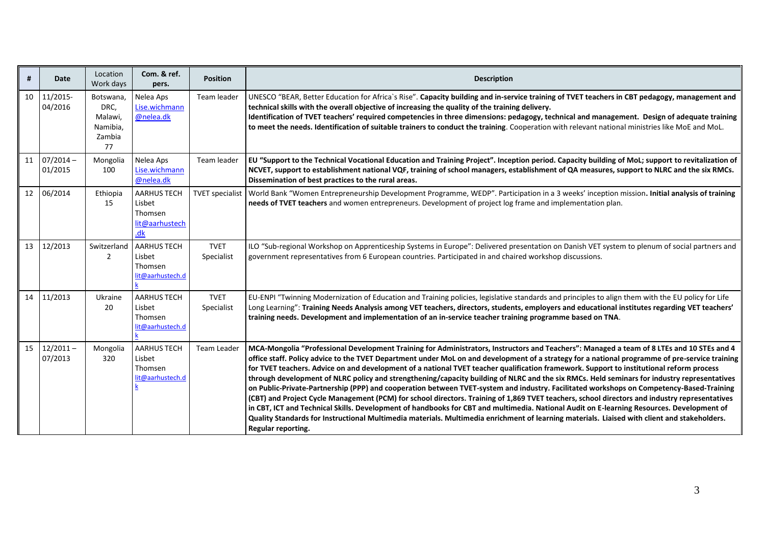| #  | <b>Date</b>            | Location<br>Work days                                    | Com. & ref.<br>pers.                                             | <b>Position</b>           | <b>Description</b>                                                                                                                                                                                                                                                                                                                                                                                                                                                                                                                                                                                                                                                                                                                                                                                                                                                                                                                                                                                                                                                                                                                                                                                     |
|----|------------------------|----------------------------------------------------------|------------------------------------------------------------------|---------------------------|--------------------------------------------------------------------------------------------------------------------------------------------------------------------------------------------------------------------------------------------------------------------------------------------------------------------------------------------------------------------------------------------------------------------------------------------------------------------------------------------------------------------------------------------------------------------------------------------------------------------------------------------------------------------------------------------------------------------------------------------------------------------------------------------------------------------------------------------------------------------------------------------------------------------------------------------------------------------------------------------------------------------------------------------------------------------------------------------------------------------------------------------------------------------------------------------------------|
| 10 | 11/2015-<br>04/2016    | Botswana,<br>DRC,<br>Malawi,<br>Namibia,<br>Zambia<br>77 | Nelea Aps<br>Lise.wichmann<br>@nelea.dk                          | Team leader               | UNESCO "BEAR, Better Education for Africa's Rise". Capacity building and in-service training of TVET teachers in CBT pedagogy, management and<br>technical skills with the overall objective of increasing the quality of the training delivery.<br>Identification of TVET teachers' required competencies in three dimensions: pedagogy, technical and management. Design of adequate training<br>to meet the needs. Identification of suitable trainers to conduct the training. Cooperation with relevant national ministries like MoE and MoL.                                                                                                                                                                                                                                                                                                                                                                                                                                                                                                                                                                                                                                                     |
| 11 | $07/2014 -$<br>01/2015 | Mongolia<br>100                                          | Nelea Aps<br>Lise.wichmann<br>@nelea.dk                          | Team leader               | EU "Support to the Technical Vocational Education and Training Project". Inception period. Capacity building of MoL; support to revitalization of<br>NCVET, support to establishment national VQF, training of school managers, establishment of QA measures, support to NLRC and the six RMCs.<br>Dissemination of best practices to the rural areas.                                                                                                                                                                                                                                                                                                                                                                                                                                                                                                                                                                                                                                                                                                                                                                                                                                                 |
| 12 | 06/2014                | Ethiopia<br>15                                           | <b>AARHUS TECH</b><br>Lisbet<br>Thomsen<br>lit@aarhustech<br>.dk | <b>TVET</b> specialist    | World Bank "Women Entrepreneurship Development Programme, WEDP". Participation in a 3 weeks' inception mission. Initial analysis of training<br>needs of TVET teachers and women entrepreneurs. Development of project log frame and implementation plan.                                                                                                                                                                                                                                                                                                                                                                                                                                                                                                                                                                                                                                                                                                                                                                                                                                                                                                                                              |
| 13 | 12/2013                | Switzerland<br>$\overline{2}$                            | <b>AARHUS TECH</b><br>Lisbet<br>Thomsen<br>lit@aarhustech.d      | <b>TVET</b><br>Specialist | ILO "Sub-regional Workshop on Apprenticeship Systems in Europe": Delivered presentation on Danish VET system to plenum of social partners and<br>government representatives from 6 European countries. Participated in and chaired workshop discussions.                                                                                                                                                                                                                                                                                                                                                                                                                                                                                                                                                                                                                                                                                                                                                                                                                                                                                                                                               |
| 14 | 11/2013                | Ukraine<br>20                                            | <b>AARHUS TECH</b><br>Lisbet<br>Thomsen<br>lit@aarhustech.d      | <b>TVET</b><br>Specialist | EU-ENPI "Twinning Modernization of Education and Training policies, legislative standards and principles to align them with the EU policy for Life<br>Long Learning": Training Needs Analysis among VET teachers, directors, students, employers and educational institutes regarding VET teachers'<br>training needs. Development and implementation of an in-service teacher training programme based on TNA.                                                                                                                                                                                                                                                                                                                                                                                                                                                                                                                                                                                                                                                                                                                                                                                        |
| 15 | $12/2011 -$<br>07/2013 | Mongolia<br>320                                          | <b>AARHUS TECH</b><br>Lisbet<br>Thomsen<br>lit@aarhustech.d      | Team Leader               | MCA-Mongolia "Professional Development Training for Administrators, Instructors and Teachers": Managed a team of 8 LTEs and 10 STEs and 4<br>office staff. Policy advice to the TVET Department under MoL on and development of a strategy for a national programme of pre-service training<br>for TVET teachers. Advice on and development of a national TVET teacher qualification framework. Support to institutional reform process<br>through development of NLRC policy and strengthening/capacity building of NLRC and the six RMCs. Held seminars for industry representatives<br>on Public-Private-Partnership (PPP) and cooperation between TVET-system and industry. Facilitated workshops on Competency-Based-Training<br>(CBT) and Project Cycle Management (PCM) for school directors. Training of 1,869 TVET teachers, school directors and industry representatives<br>in CBT, ICT and Technical Skills. Development of handbooks for CBT and multimedia. National Audit on E-learning Resources. Development of<br>Quality Standards for Instructional Multimedia materials. Multimedia enrichment of learning materials. Liaised with client and stakeholders.<br>Regular reporting. |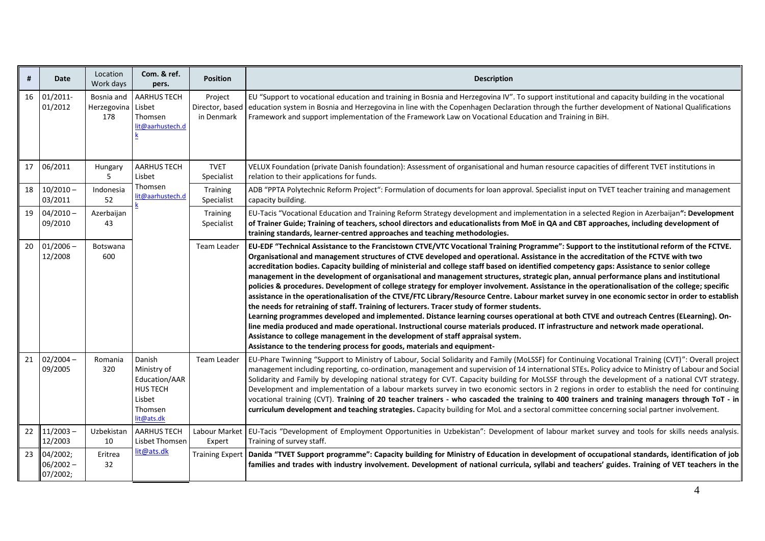| #  | Date                                | Location<br>Work days            | Com. & ref.<br>pers.                                                                         | <b>Position</b>                          | <b>Description</b>                                                                                                                                                                                                                                                                                                                                                                                                                                                                                                                                                                                                                                                                                                                                                                                                                                                                                                                                                                                                                                                                                                                                                                                                                                                                                                                                                                                                      |
|----|-------------------------------------|----------------------------------|----------------------------------------------------------------------------------------------|------------------------------------------|-------------------------------------------------------------------------------------------------------------------------------------------------------------------------------------------------------------------------------------------------------------------------------------------------------------------------------------------------------------------------------------------------------------------------------------------------------------------------------------------------------------------------------------------------------------------------------------------------------------------------------------------------------------------------------------------------------------------------------------------------------------------------------------------------------------------------------------------------------------------------------------------------------------------------------------------------------------------------------------------------------------------------------------------------------------------------------------------------------------------------------------------------------------------------------------------------------------------------------------------------------------------------------------------------------------------------------------------------------------------------------------------------------------------------|
|    | 16 01/2011-<br>01/2012              | Bosnia and<br>Herzegovina<br>178 | <b>AARHUS TECH</b><br>Lisbet<br>Thomsen<br>lit@aarhustech.d                                  | Project<br>Director, based<br>in Denmark | EU "Support to vocational education and training in Bosnia and Herzegovina IV". To support institutional and capacity building in the vocational<br>education system in Bosnia and Herzegovina in line with the Copenhagen Declaration through the further development of National Qualifications<br>Framework and support implementation of the Framework Law on Vocational Education and Training in BiH.                                                                                                                                                                                                                                                                                                                                                                                                                                                                                                                                                                                                                                                                                                                                                                                                                                                                                                                                                                                                             |
| 17 | 06/2011                             | Hungary<br>5                     | <b>AARHUS TECH</b><br>Lisbet                                                                 | <b>TVET</b><br>Specialist                | VELUX Foundation (private Danish foundation): Assessment of organisational and human resource capacities of different TVET institutions in<br>relation to their applications for funds.                                                                                                                                                                                                                                                                                                                                                                                                                                                                                                                                                                                                                                                                                                                                                                                                                                                                                                                                                                                                                                                                                                                                                                                                                                 |
| 18 | $10/2010 -$<br>03/2011              | Indonesia<br>52                  | Thomsen<br>lit@aarhustech.d                                                                  | Training<br>Specialist                   | ADB "PPTA Polytechnic Reform Project": Formulation of documents for loan approval. Specialist input on TVET teacher training and management<br>capacity building.                                                                                                                                                                                                                                                                                                                                                                                                                                                                                                                                                                                                                                                                                                                                                                                                                                                                                                                                                                                                                                                                                                                                                                                                                                                       |
| 19 | $04/2010 -$<br>09/2010              | Azerbaijan<br>43                 |                                                                                              | Training<br>Specialist                   | EU-Tacis "Vocational Education and Training Reform Strategy development and implementation in a selected Region in Azerbaijan": Development<br>of Trainer Guide; Training of teachers, school directors and educationalists from MoE in QA and CBT approaches, including development of<br>training standards, learner-centred approaches and teaching methodologies.                                                                                                                                                                                                                                                                                                                                                                                                                                                                                                                                                                                                                                                                                                                                                                                                                                                                                                                                                                                                                                                   |
| 20 | $01/2006 -$<br>12/2008              | Botswana<br>600                  |                                                                                              | Team Leader                              | EU-EDF "Technical Assistance to the Francistown CTVE/VTC Vocational Training Programme": Support to the institutional reform of the FCTVE.<br>Organisational and management structures of CTVE developed and operational. Assistance in the accreditation of the FCTVE with two<br>accreditation bodies. Capacity building of ministerial and college staff based on identified competency gaps: Assistance to senior college<br>management in the development of organisational and management structures, strategic plan, annual performance plans and institutional<br>policies & procedures. Development of college strategy for employer involvement. Assistance in the operationalisation of the college; specific<br>assistance in the operationalisation of the CTVE/FTC Library/Resource Centre. Labour market survey in one economic sector in order to establish<br>the needs for retraining of staff. Training of lecturers. Tracer study of former students.<br>Learning programmes developed and implemented. Distance learning courses operational at both CTVE and outreach Centres (ELearning). On-<br>line media produced and made operational. Instructional course materials produced. IT infrastructure and network made operational.<br>Assistance to college management in the development of staff appraisal system.<br>Assistance to the tendering process for goods, materials and equipment- |
| 21 | $02/2004 -$<br>09/2005              | Romania<br>320                   | Danish<br>Ministry of<br>Education/AAR<br><b>HUS TECH</b><br>Lisbet<br>Thomsen<br>lit@ats.dk | Team Leader                              | EU-Phare Twinning "Support to Ministry of Labour, Social Solidarity and Family (MoLSSF) for Continuing Vocational Training (CVT)": Overall project<br>management including reporting, co-ordination, management and supervision of 14 international STEs. Policy advice to Ministry of Labour and Social<br>Solidarity and Family by developing national strategy for CVT. Capacity building for MoLSSF through the development of a national CVT strategy.<br>Development and implementation of a labour markets survey in two economic sectors in 2 regions in order to establish the need for continuing<br>vocational training (CVT). Training of 20 teacher trainers - who cascaded the training to 400 trainers and training managers through ToT - in<br>curriculum development and teaching strategies. Capacity building for MoL and a sectoral committee concerning social partner involvement.                                                                                                                                                                                                                                                                                                                                                                                                                                                                                                               |
| 22 | $11/2003 -$<br>12/2003              | Uzbekistan<br>10                 | <b>AARHUS TECH</b><br>Lisbet Thomsen                                                         | Expert                                   | Labour Market   EU-Tacis "Development of Employment Opportunities in Uzbekistan": Development of labour market survey and tools for skills needs analysis.<br>Training of survey staff.                                                                                                                                                                                                                                                                                                                                                                                                                                                                                                                                                                                                                                                                                                                                                                                                                                                                                                                                                                                                                                                                                                                                                                                                                                 |
| 23 | 04/2002;<br>$06/2002 -$<br>07/2002; | Eritrea<br>32                    | lit@ats.dk                                                                                   | <b>Training Expert</b>                   | Danida "TVET Support programme": Capacity building for Ministry of Education in development of occupational standards, identification of job<br>families and trades with industry involvement. Development of national curricula, syllabi and teachers' guides. Training of VET teachers in the                                                                                                                                                                                                                                                                                                                                                                                                                                                                                                                                                                                                                                                                                                                                                                                                                                                                                                                                                                                                                                                                                                                         |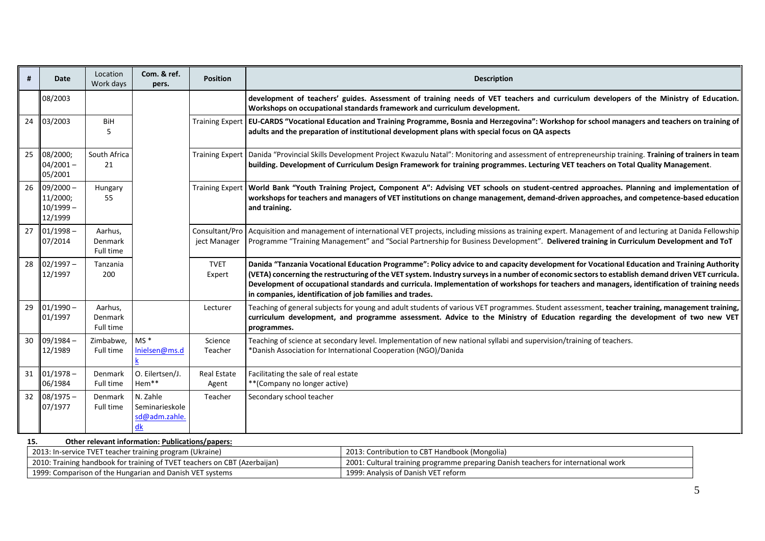| #   | Date                                                      | Location<br>Work days           | Com. & ref.<br>pers.                              | <b>Position</b>                | <b>Description</b>                                                                                                                                                                                                                                                                                                                                                                                                                                                                                           |  |
|-----|-----------------------------------------------------------|---------------------------------|---------------------------------------------------|--------------------------------|--------------------------------------------------------------------------------------------------------------------------------------------------------------------------------------------------------------------------------------------------------------------------------------------------------------------------------------------------------------------------------------------------------------------------------------------------------------------------------------------------------------|--|
|     | 08/2003                                                   |                                 |                                                   |                                | development of teachers' guides. Assessment of training needs of VET teachers and curriculum developers of the Ministry of Education.<br>Workshops on occupational standards framework and curriculum development.                                                                                                                                                                                                                                                                                           |  |
| 24  | 03/2003                                                   | <b>BiH</b><br>5                 |                                                   |                                | Training Expert   EU-CARDS "Vocational Education and Training Programme, Bosnia and Herzegovina": Workshop for school managers and teachers on training of<br>adults and the preparation of institutional development plans with special focus on QA aspects                                                                                                                                                                                                                                                 |  |
| 25  | 08/2000;<br>$04/2001 -$<br>05/2001                        | South Africa<br>21              |                                                   | <b>Training Expert</b>         | Danida "Provincial Skills Development Project Kwazulu Natal": Monitoring and assessment of entrepreneurship training. Training of trainers in team<br>building. Development of Curriculum Design Framework for training programmes. Lecturing VET teachers on Total Quality Management.                                                                                                                                                                                                                      |  |
|     | $26 \mid 09/2000 -$<br>11/2000;<br>$10/1999 -$<br>12/1999 | Hungary<br>55                   |                                                   | <b>Training Expert</b>         | World Bank "Youth Training Project, Component A": Advising VET schools on student-centred approaches. Planning and implementation of<br>workshops for teachers and managers of VET institutions on change management, demand-driven approaches, and competence-based education<br>and training.                                                                                                                                                                                                              |  |
| 27  | $01/1998 -$<br>07/2014                                    | Aarhus,<br>Denmark<br>Full time |                                                   | Consultant/Pro<br>ject Manager | Acquisition and management of international VET projects, including missions as training expert. Management of and lecturing at Danida Fellowship<br>Programme "Training Management" and "Social Partnership for Business Development". Delivered training in Curriculum Development and ToT                                                                                                                                                                                                                 |  |
| 28  | $02/1997 -$<br>12/1997                                    | Tanzania<br>200                 |                                                   | <b>TVET</b><br>Expert          | Danida "Tanzania Vocational Education Programme": Policy advice to and capacity development for Vocational Education and Training Authority<br>(VETA) concerning the restructuring of the VET system. Industry surveys in a number of economic sectors to establish demand driven VET curricula.<br>Development of occupational standards and curricula. Implementation of workshops for teachers and managers, identification of training needs<br>in companies, identification of job families and trades. |  |
| 29  | $01/1990 -$<br>01/1997                                    | Aarhus,<br>Denmark<br>Full time |                                                   | Lecturer                       | Teaching of general subjects for young and adult students of various VET programmes. Student assessment, teacher training, management training,<br>curriculum development, and programme assessment. Advice to the Ministry of Education regarding the development of two new VET<br>programmes.                                                                                                                                                                                                             |  |
|     | $30   09/1984 -$<br>12/1989                               | Zimbabwe,<br>Full time          | $MS*$<br>Inielsen@ms.d                            | Science<br>Teacher             | Teaching of science at secondary level. Implementation of new national syllabi and supervision/training of teachers.<br>*Danish Association for International Cooperation (NGO)/Danida                                                                                                                                                                                                                                                                                                                       |  |
|     | $31   01/1978 -$<br>06/1984                               | Denmark<br>Full time            | O. Eilertsen/J.<br>Hem**                          | <b>Real Estate</b><br>Agent    | Facilitating the sale of real estate<br>** (Company no longer active)                                                                                                                                                                                                                                                                                                                                                                                                                                        |  |
|     | $32   08/1975 -$<br>07/1977                               | Denmark<br>Full time            | N. Zahle<br>Seminarieskole<br>sd@adm.zahle.<br>dk | Teacher                        | Secondary school teacher                                                                                                                                                                                                                                                                                                                                                                                                                                                                                     |  |
| 15. | Other relevant information: Publications/papers:          |                                 |                                                   |                                |                                                                                                                                                                                                                                                                                                                                                                                                                                                                                                              |  |

| 2013: In-service TVET teacher training program (Ukraine)                  | 2013: Contribution to CBT Handbook (Mongolia)                                      |
|---------------------------------------------------------------------------|------------------------------------------------------------------------------------|
| 2010: Training handbook for training of TVET teachers on CBT (Azerbaijan) | 2001: Cultural training programme preparing Danish teachers for international work |
| 1999: Comparison of the Hungarian and Danish VET systems                  | 1999: Analysis of Danish VET reform                                                |